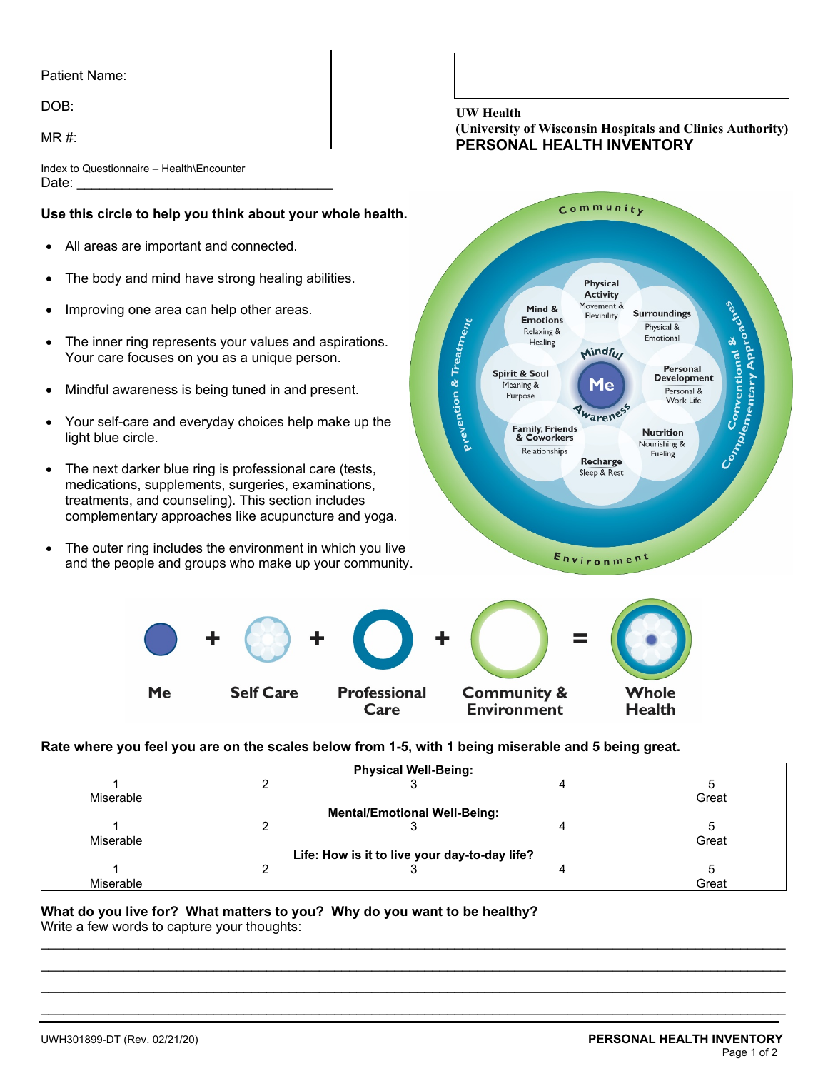### Patient Name:

DOB:

 $MR \#$ 

Index to Questionnaire – Health\Encounter Date: \_\_\_\_\_\_\_\_\_\_\_\_\_\_\_\_\_\_\_\_\_\_\_\_\_\_\_\_\_\_\_\_\_\_

## **Use this circle to help you think about your whole health.**

- All areas are important and connected.
- The body and mind have strong healing abilities.
- Improving one area can help other areas.

Me

- The inner ring represents your values and aspirations. Your care focuses on you as a unique person.
- Mindful awareness is being tuned in and present.
- Your self-care and everyday choices help make up the light blue circle.
- The next darker blue ring is professional care (tests, medications, supplements, surgeries, examinations, treatments, and counseling). This section includes complementary approaches like acupuncture and yoga.
- The outer ring includes the environment in which you live and the people and groups who make up your community.

**Self Care** 

#### **UW Health**

## **(University of Wisconsin Hospitals and Clinics Authority) PERSONAL HEALTH INVENTORY**



**Rate where you feel you are on the scales below from 1-5, with 1 being miserable and 5 being great.**

Care

| <b>Physical Well-Being:</b>                   |  |  |  |       |  |  |  |  |
|-----------------------------------------------|--|--|--|-------|--|--|--|--|
|                                               |  |  |  |       |  |  |  |  |
| Miserable                                     |  |  |  | Great |  |  |  |  |
| <b>Mental/Emotional Well-Being:</b>           |  |  |  |       |  |  |  |  |
|                                               |  |  |  |       |  |  |  |  |
| Miserable                                     |  |  |  | Great |  |  |  |  |
| Life: How is it to live your day-to-day life? |  |  |  |       |  |  |  |  |
|                                               |  |  |  |       |  |  |  |  |
| Miserable                                     |  |  |  | Great |  |  |  |  |

**Environment** 

\_\_\_\_\_\_\_\_\_\_\_\_\_\_\_\_\_\_\_\_\_\_\_\_\_\_\_\_\_\_\_\_\_\_\_\_\_\_\_\_\_\_\_\_\_\_\_\_\_\_\_\_\_\_\_\_\_\_\_\_\_\_\_\_\_\_\_\_\_\_\_\_\_\_\_\_\_\_\_\_\_\_\_\_\_\_\_\_\_\_\_\_\_\_\_\_\_\_\_ \_\_\_\_\_\_\_\_\_\_\_\_\_\_\_\_\_\_\_\_\_\_\_\_\_\_\_\_\_\_\_\_\_\_\_\_\_\_\_\_\_\_\_\_\_\_\_\_\_\_\_\_\_\_\_\_\_\_\_\_\_\_\_\_\_\_\_\_\_\_\_\_\_\_\_\_\_\_\_\_\_\_\_\_\_\_\_\_\_\_\_\_\_\_\_\_\_\_\_ \_\_\_\_\_\_\_\_\_\_\_\_\_\_\_\_\_\_\_\_\_\_\_\_\_\_\_\_\_\_\_\_\_\_\_\_\_\_\_\_\_\_\_\_\_\_\_\_\_\_\_\_\_\_\_\_\_\_\_\_\_\_\_\_\_\_\_\_\_\_\_\_\_\_\_\_\_\_\_\_\_\_\_\_\_\_\_\_\_\_\_\_\_\_\_\_\_\_\_ \_\_\_\_\_\_\_\_\_\_\_\_\_\_\_\_\_\_\_\_\_\_\_\_\_\_\_\_\_\_\_\_\_\_\_\_\_\_\_\_\_\_\_\_\_\_\_\_\_\_\_\_\_\_\_\_\_\_\_\_\_\_\_\_\_\_\_\_\_\_\_\_\_\_\_\_\_\_\_\_\_\_\_\_\_\_\_\_\_\_\_\_\_\_\_\_\_\_\_

### **What do you live for? What matters to you? Why do you want to be healthy?** Write a few words to capture your thoughts:

**Health**